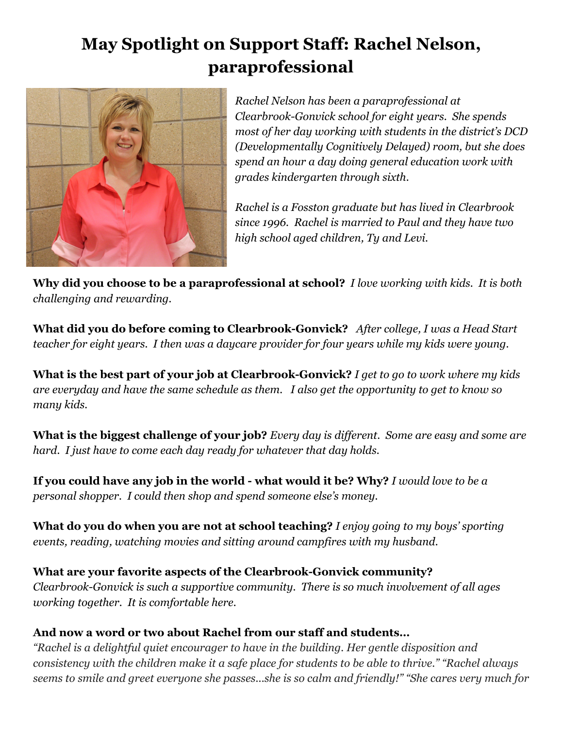## **May Spotlight on Support Staff: Rachel Nelson, paraprofessional**



*Rachel Nelson has been a paraprofessional at ClearbrookGonvick school for eight years. She spends most of her day working with students in the district's DCD (Developmentally Cognitively Delayed) room, but she does spend an hour a day doing general education work with grades kindergarten through sixth.*

*Rachel is a Fosston graduate but has lived in Clearbrook since 1996. Rachel is married to Paul and they have two high school aged children, Ty and Levi.*

**Why did you choose to be a paraprofessional at school?***I love working with kids. It is both challenging and rewarding.*

**What did you do before coming to Clearbrook-Gonvick?** After college, I was a Head Start *teacher for eight years. I then was a daycare provider for four years while my kids were young.*

**What is the best part of your job at Clearbrook-Gonvick?** *I get to go to work where my kids* are everyday and have the same schedule as them. I also get the opportunity to get to know so *many kids.*

What is the biggest challenge of your job? Every day is different. Some are easy and some are *hard. I just have to come each day ready for whatever that day holds.*

**If you could have any job in the world what would it be? Why?** *I would love to be a personal shopper. I could then shop and spend someone else's money.*

**What do you do when you are not at school teaching?** *I enjoy going to my boys' sporting events, reading, watching movies and sitting around campfires with my husband*.

**What are your favorite aspects of the ClearbrookGonvick community?** *ClearbrookGonvick is such a supportive community. There is so much involvement of all ages working together. It is comfortable here.*

## **And now a word or two about Rachel from our staff and students…**

*"Rachel is a delightful quiet encourager to have in the building. Her gentle disposition and* consistency with the children make it a safe place for students to be able to thrive." "Rachel always seems to smile and greet everyone she passes...she is so calm and friendly!" "She cares very much for